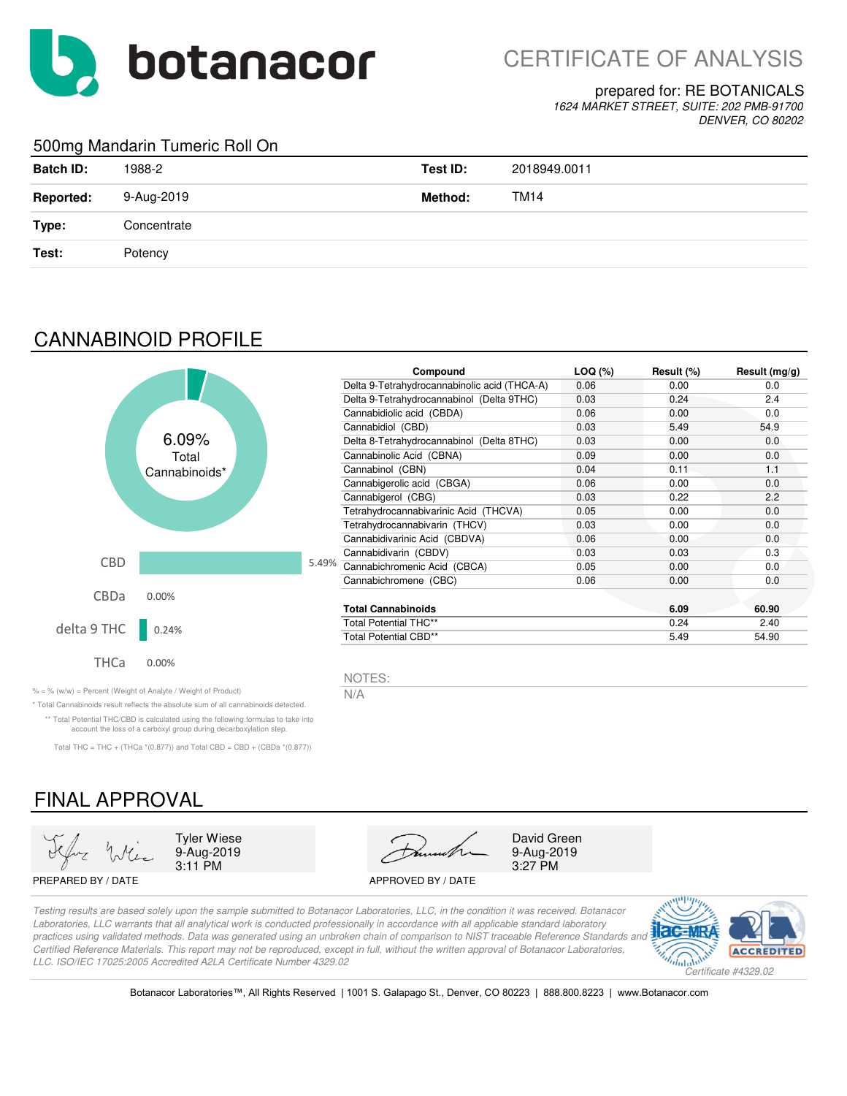

#### prepared for: RE BOTANICALS

*1624 MARKET STREET, SUITE: 202 PMB-91700 DENVER, CO 80202*

## 500mg Mandarin Tumeric Roll On

| <u> The Community of the Community of the Community of the Community of the Community of the Community of the Community of the Community of the Community of the Community of the Community of the Community of the Community of</u><br><b>Batch ID:</b> | 1988-2      | Test ID: | 2018949.0011 |
|----------------------------------------------------------------------------------------------------------------------------------------------------------------------------------------------------------------------------------------------------------|-------------|----------|--------------|
| <b>Reported:</b>                                                                                                                                                                                                                                         | 9-Aug-2019  | Method:  | TM14         |
| Type:                                                                                                                                                                                                                                                    | Concentrate |          |              |
| Test:                                                                                                                                                                                                                                                    | Potency     |          |              |
|                                                                                                                                                                                                                                                          |             |          |              |

## CANNABINOID PROFILE



| Compound                                     | $LOQ (\%)$ | Result (%) | Result $(mq/q)$ |
|----------------------------------------------|------------|------------|-----------------|
| Delta 9-Tetrahydrocannabinolic acid (THCA-A) | 0.06       | 0.00       | 0.0             |
| Delta 9-Tetrahydrocannabinol (Delta 9THC)    | 0.03       | 0.24       | 2.4             |
| Cannabidiolic acid (CBDA)                    | 0.06       | 0.00       | 0.0             |
| Cannabidiol (CBD)                            | 0.03       | 5.49       | 54.9            |
| Delta 8-Tetrahydrocannabinol (Delta 8THC)    | 0.03       | 0.00       | 0.0             |
| Cannabinolic Acid (CBNA)                     | 0.09       | 0.00       | 0.0             |
| Cannabinol (CBN)                             | 0.04       | 0.11       | 1.1             |
| Cannabigerolic acid (CBGA)                   | 0.06       | 0.00       | 0.0             |
| Cannabigerol (CBG)                           | 0.03       | 0.22       | 2.2             |
| Tetrahydrocannabivarinic Acid (THCVA)        | 0.05       | 0.00       | 0.0             |
| Tetrahydrocannabivarin (THCV)                | 0.03       | 0.00       | 0.0             |
| Cannabidivarinic Acid (CBDVA)                | 0.06       | 0.00       | 0.0             |
| Cannabidivarin (CBDV)                        | 0.03       | 0.03       | 0.3             |
| ℅<br>Cannabichromenic Acid (CBCA)            | 0.05       | 0.00       | 0.0             |
| Cannabichromene (CBC)                        | 0.06       | 0.00       | 0.0             |
| <b>Total Cannabinoids</b>                    |            | 6.09       | 60.90           |
| <b>Total Potential THC**</b>                 |            | 0.24       | 2.40            |
| <b>Total Potential CBD**</b>                 |            | 5.49       | 54.90           |

NOTES:

% = % (w/w) = Percent (Weight of Analyte / Weight of Product)  $N/A$ 

\* Total Cannabinoids result reflects the absolute sum of all cannabinoids detected. \*\* Total Potential THC/CBD is calculated using the following formulas to take into account the loss of a carboxyl group during decarboxylation step.

Total THC = THC + (THCa  $*(0.877)$ ) and Total CBD = CBD + (CBDa  $*(0.877)$ )

# FINAL APPROVAL



9-Aug-2019

3:11 PM 3:27 PM Tyler Wiese David Green

9-Aug-2019

PREPARED BY / DATE APPROVED BY / DATE

*Testing results are based solely upon the sample submitted to Botanacor Laboratories, LLC, in the condition it was received. Botanacor Laboratories, LLC warrants that all analytical work is conducted professionally in accordance with all applicable standard laboratory practices using validated methods. Data was generated using an unbroken chain of comparison to NIST traceable Reference Standards and Certified Reference Materials. This report may not be reproduced, except in full, without the written approval of Botanacor Laboratories, LLC. ISO/IEC 17025:2005 Accredited A2LA Certificate Number 4329.02*

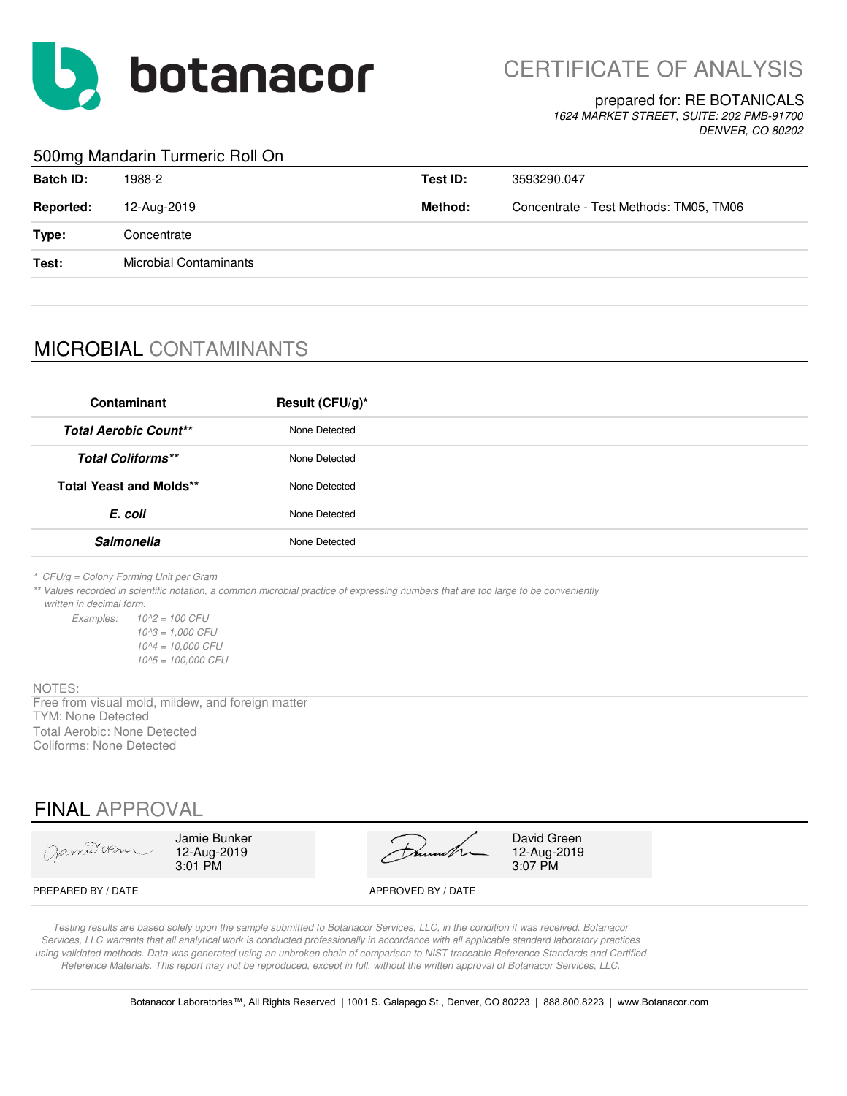

# CERTIFICATE OF ANALYSIS

### prepared for: RE BOTANICALS

*1624 MARKET STREET, SUITE: 202 PMB-91700 DENVER, CO 80202*

## 500mg Mandarin Turmeric Roll On

| <b>Batch ID:</b> | 1988-2                        | Test ID: | 3593290.047                            |
|------------------|-------------------------------|----------|----------------------------------------|
| <b>Reported:</b> | 12-Aug-2019                   | Method:  | Concentrate - Test Methods: TM05, TM06 |
| Type:            | Concentrate                   |          |                                        |
| Test:            | <b>Microbial Contaminants</b> |          |                                        |
|                  |                               |          |                                        |

## MICROBIAL CONTAMINANTS

| Contaminant                    | Result (CFU/g)* |
|--------------------------------|-----------------|
| <b>Total Aerobic Count**</b>   | None Detected   |
| <b>Total Coliforms**</b>       | None Detected   |
| <b>Total Yeast and Molds**</b> | None Detected   |
| E. coli                        | None Detected   |
| <b>Salmonella</b>              | None Detected   |

*\* CFU/g = Colony Forming Unit per Gram*

*\*\* Values recorded in scientific notation, a common microbial practice of expressing numbers that are too large to be conveniently written in decimal form.*

*Examples: 10^2 = 100 CFU 10^3 = 1,000 CFU 10^4 = 10,000 CFU 10^5 = 100,000 CFU*

NOTES:

Free from visual mold, mildew, and foreign matter TYM: None Detected Total Aerobic: None Detected Coliforms: None Detected

## FINAL APPROVAL

| Jamit Pom          | Jamie Bunker<br>12-Aug-2019<br>$3:01$ PM | Summent            | David Green<br>12-Aug-2019<br>3:07 PM |
|--------------------|------------------------------------------|--------------------|---------------------------------------|
| PREPARED BY / DATE |                                          | APPROVED BY / DATE |                                       |

*Testing results are based solely upon the sample submitted to Botanacor Services, LLC, in the condition it was received. Botanacor Services, LLC warrants that all analytical work is conducted professionally in accordance with all applicable standard laboratory practices using validated methods. Data was generated using an unbroken chain of comparison to NIST traceable Reference Standards and Certified Reference Materials. This report may not be reproduced, except in full, without the written approval of Botanacor Services, LLC.*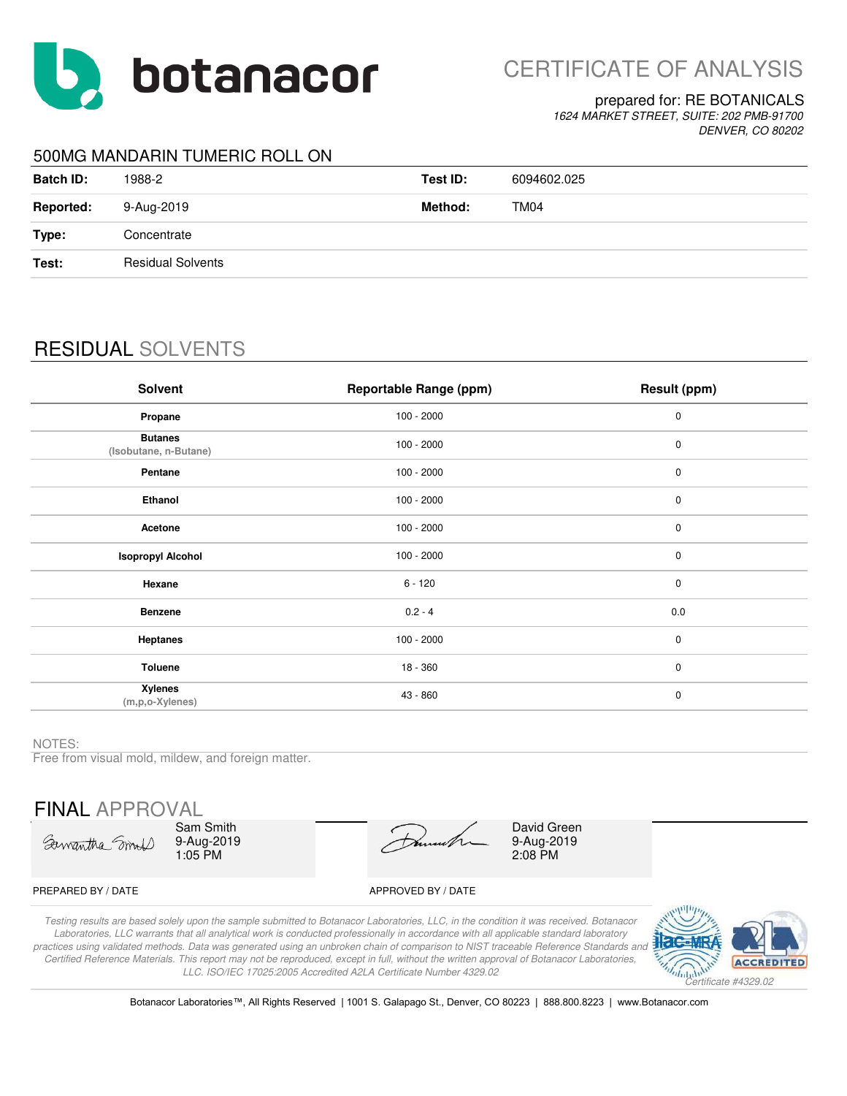

## prepared for: RE BOTANICALS

*1624 MARKET STREET, SUITE: 202 PMB-91700 DENVER, CO 80202*

## 500MG MANDARIN TUMERIC ROLL ON

| <b>Batch ID:</b> | 1988-2                   | Test ID: | 6094602.025 |
|------------------|--------------------------|----------|-------------|
| <b>Reported:</b> | 9-Aug-2019               | Method:  | TM04        |
| Type:            | Concentrate              |          |             |
| Test:            | <b>Residual Solvents</b> |          |             |
|                  |                          |          |             |

## RESIDUAL SOLVENTS

| Solvent                                 | <b>Reportable Range (ppm)</b> | Result (ppm) |
|-----------------------------------------|-------------------------------|--------------|
| Propane                                 | $100 - 2000$                  | $\pmb{0}$    |
| <b>Butanes</b><br>(Isobutane, n-Butane) | $100 - 2000$                  | $\pmb{0}$    |
| Pentane                                 | $100 - 2000$                  | $\pmb{0}$    |
| Ethanol                                 | $100 - 2000$                  | $\pmb{0}$    |
| Acetone                                 | $100 - 2000$                  | $\pmb{0}$    |
| <b>Isopropyl Alcohol</b>                | $100 - 2000$                  | $\pmb{0}$    |
| Hexane                                  | $6 - 120$                     | $\mathbf 0$  |
| <b>Benzene</b>                          | $0.2 - 4$                     | 0.0          |
| <b>Heptanes</b>                         | $100 - 2000$                  | $\mathbf 0$  |
| <b>Toluene</b>                          | 18 - 360                      | $\mathbf 0$  |
| <b>Xylenes</b><br>$(m, p, o$ -Xylenes)  | 43 - 860                      | $\pmb{0}$    |

#### NOTES:

Free from visual mold, mildew, and foreign matter.

FINAL APPROVAL Sam Smith David Green 9-Aug-2019 Samantha Small 9-Aug-2019 1:05 PM 2:08 PMPREPARED BY / DATE APPROVED BY / DATE

*Testing results are based solely upon the sample submitted to Botanacor Laboratories, LLC, in the condition it was received. Botanacor Laboratories, LLC warrants that all analytical work is conducted professionally in accordance with all applicable standard laboratory practices using validated methods. Data was generated using an unbroken chain of comparison to NIST traceable Reference Standards and Certified Reference Materials. This report may not be reproduced, except in full, without the written approval of Botanacor Laboratories, LLC. ISO/IEC 17025:2005 Accredited A2LA Certificate Number 4329.02*



Botanacor Laboratories™, All Rights Reserved | 1001 S. Galapago St., Denver, CO 80223 | 888.800.8223 | www.Botanacor.com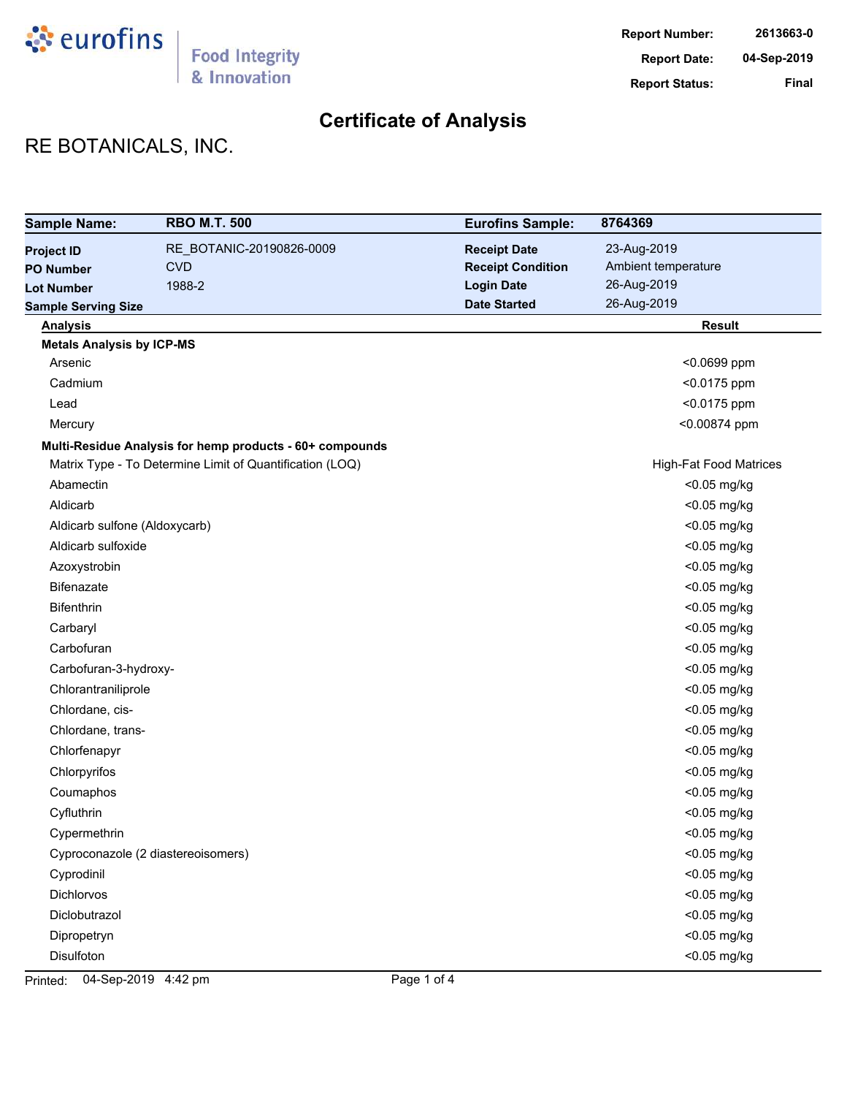

# RE BOTANICALS, INC.

| <b>Sample Name:</b>              | <b>RBO M.T. 500</b>                                      | <b>Eurofins Sample:</b>  | 8764369                       |
|----------------------------------|----------------------------------------------------------|--------------------------|-------------------------------|
| <b>Project ID</b>                | RE_BOTANIC-20190826-0009                                 | <b>Receipt Date</b>      | 23-Aug-2019                   |
| <b>PO Number</b>                 | <b>CVD</b>                                               | <b>Receipt Condition</b> | Ambient temperature           |
| <b>Lot Number</b>                | 1988-2                                                   | <b>Login Date</b>        | 26-Aug-2019                   |
| <b>Sample Serving Size</b>       |                                                          | <b>Date Started</b>      | 26-Aug-2019                   |
| <b>Analysis</b>                  |                                                          |                          | <b>Result</b>                 |
| <b>Metals Analysis by ICP-MS</b> |                                                          |                          |                               |
| Arsenic                          |                                                          |                          | <0.0699 ppm                   |
| Cadmium                          |                                                          |                          | <0.0175 ppm                   |
| Lead                             |                                                          |                          | <0.0175 ppm                   |
| Mercury                          |                                                          |                          | <0.00874 ppm                  |
|                                  | Multi-Residue Analysis for hemp products - 60+ compounds |                          |                               |
|                                  | Matrix Type - To Determine Limit of Quantification (LOQ) |                          | <b>High-Fat Food Matrices</b> |
| Abamectin                        |                                                          |                          | <0.05 mg/kg                   |
| Aldicarb                         |                                                          |                          | <0.05 mg/kg                   |
| Aldicarb sulfone (Aldoxycarb)    |                                                          |                          | <0.05 mg/kg                   |
| Aldicarb sulfoxide               |                                                          |                          | <0.05 mg/kg                   |
| Azoxystrobin                     |                                                          |                          | <0.05 mg/kg                   |
| <b>Bifenazate</b>                |                                                          |                          | <0.05 mg/kg                   |
| <b>Bifenthrin</b>                |                                                          |                          | <0.05 mg/kg                   |
| Carbaryl                         |                                                          |                          | <0.05 mg/kg                   |
| Carbofuran                       |                                                          |                          | <0.05 mg/kg                   |
| Carbofuran-3-hydroxy-            |                                                          |                          | <0.05 mg/kg                   |
| Chlorantraniliprole              |                                                          |                          | <0.05 mg/kg                   |
| Chlordane, cis-                  |                                                          |                          | <0.05 mg/kg                   |
| Chlordane, trans-                |                                                          |                          | <0.05 mg/kg                   |
| Chlorfenapyr                     |                                                          |                          | <0.05 mg/kg                   |
| Chlorpyrifos                     |                                                          |                          | <0.05 mg/kg                   |
| Coumaphos                        |                                                          |                          | <0.05 mg/kg                   |
| Cyfluthrin                       |                                                          |                          | <0.05 mg/kg                   |
| Cypermethrin                     |                                                          |                          | <0.05 mg/kg                   |
|                                  | Cyproconazole (2 diastereoisomers)                       |                          | <0.05 mg/kg                   |
| Cyprodinil                       |                                                          |                          | <0.05 mg/kg                   |
| <b>Dichlorvos</b>                |                                                          |                          | <0.05 mg/kg                   |
| Diclobutrazol                    |                                                          |                          | <0.05 mg/kg                   |
| Dipropetryn                      |                                                          |                          | <0.05 mg/kg                   |
| Disulfoton                       |                                                          |                          | <0.05 mg/kg                   |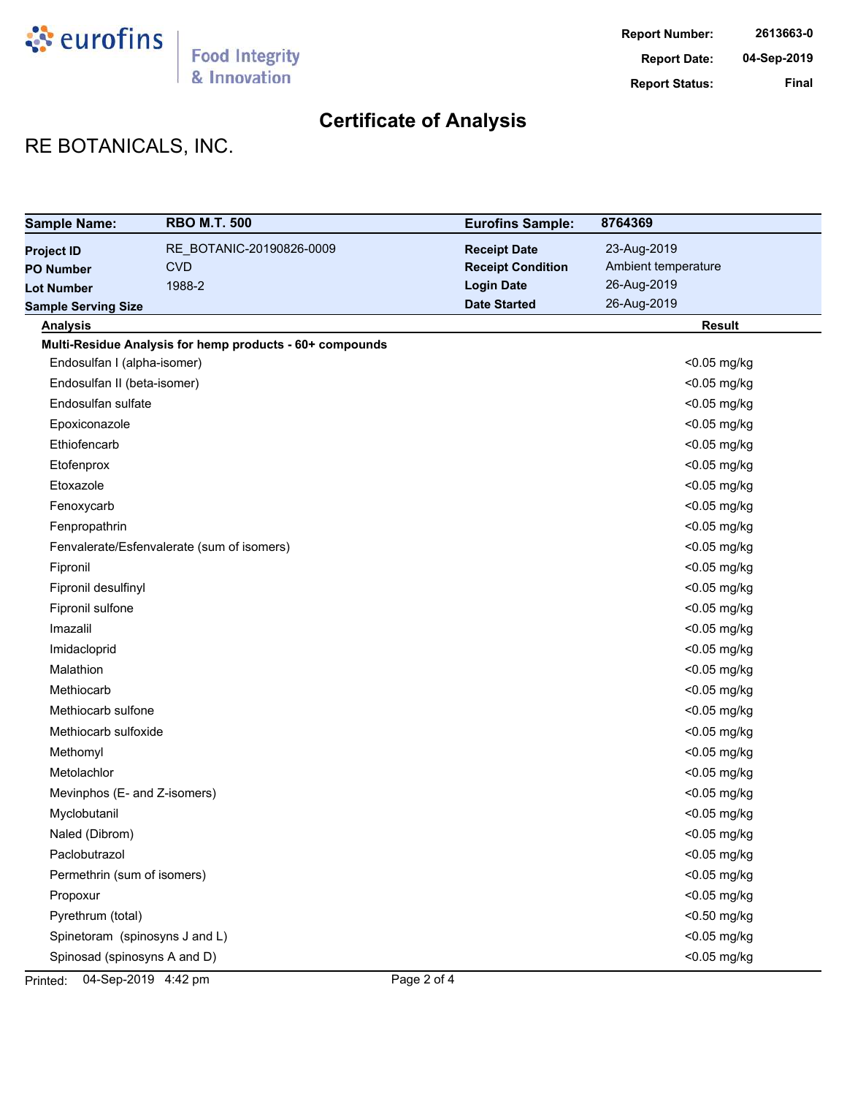

# RE BOTANICALS, INC.

| <b>Sample Name:</b>            | <b>RBO M.T. 500</b>                                      | <b>Eurofins Sample:</b>  | 8764369             |
|--------------------------------|----------------------------------------------------------|--------------------------|---------------------|
| <b>Project ID</b>              | RE_BOTANIC-20190826-0009                                 | <b>Receipt Date</b>      | 23-Aug-2019         |
| <b>PO Number</b>               | <b>CVD</b>                                               | <b>Receipt Condition</b> | Ambient temperature |
| <b>Lot Number</b>              | 1988-2                                                   | <b>Login Date</b>        | 26-Aug-2019         |
| <b>Sample Serving Size</b>     |                                                          | <b>Date Started</b>      | 26-Aug-2019         |
| <b>Analysis</b>                |                                                          |                          | <b>Result</b>       |
|                                | Multi-Residue Analysis for hemp products - 60+ compounds |                          |                     |
| Endosulfan I (alpha-isomer)    |                                                          |                          | $<$ 0.05 mg/kg      |
| Endosulfan II (beta-isomer)    |                                                          |                          | <0.05 mg/kg         |
| Endosulfan sulfate             |                                                          |                          | <0.05 mg/kg         |
| Epoxiconazole                  |                                                          |                          | <0.05 mg/kg         |
| Ethiofencarb                   |                                                          |                          | <0.05 mg/kg         |
| Etofenprox                     |                                                          |                          | <0.05 mg/kg         |
| Etoxazole                      |                                                          |                          | <0.05 mg/kg         |
| Fenoxycarb                     |                                                          |                          | <0.05 mg/kg         |
| Fenpropathrin                  |                                                          |                          | <0.05 mg/kg         |
|                                | Fenvalerate/Esfenvalerate (sum of isomers)               |                          | <0.05 mg/kg         |
| Fipronil                       |                                                          |                          | <0.05 mg/kg         |
| Fipronil desulfinyl            |                                                          |                          | $<$ 0.05 mg/kg      |
| Fipronil sulfone               |                                                          |                          | <0.05 mg/kg         |
| Imazalil                       |                                                          |                          | <0.05 mg/kg         |
| Imidacloprid                   |                                                          |                          | <0.05 mg/kg         |
| Malathion                      |                                                          |                          | <0.05 mg/kg         |
| Methiocarb                     |                                                          |                          | <0.05 mg/kg         |
| Methiocarb sulfone             |                                                          |                          | <0.05 mg/kg         |
| Methiocarb sulfoxide           |                                                          |                          | <0.05 mg/kg         |
| Methomyl                       |                                                          |                          | <0.05 mg/kg         |
| Metolachlor                    |                                                          |                          | <0.05 mg/kg         |
| Mevinphos (E- and Z-isomers)   |                                                          |                          | <0.05 mg/kg         |
| Myclobutanil                   |                                                          |                          | <0.05 mg/kg         |
| Naled (Dibrom)                 |                                                          |                          | <0.05 mg/kg         |
| Paclobutrazol                  |                                                          |                          | <0.05 mg/kg         |
| Permethrin (sum of isomers)    |                                                          |                          | <0.05 mg/kg         |
| Propoxur                       |                                                          |                          | <0.05 mg/kg         |
| Pyrethrum (total)              |                                                          |                          | <0.50 mg/kg         |
| Spinetoram (spinosyns J and L) |                                                          |                          | <0.05 mg/kg         |
| Spinosad (spinosyns A and D)   |                                                          |                          | <0.05 mg/kg         |

Printed: 04-Sep-2019 4:42 pm Page 2 of 4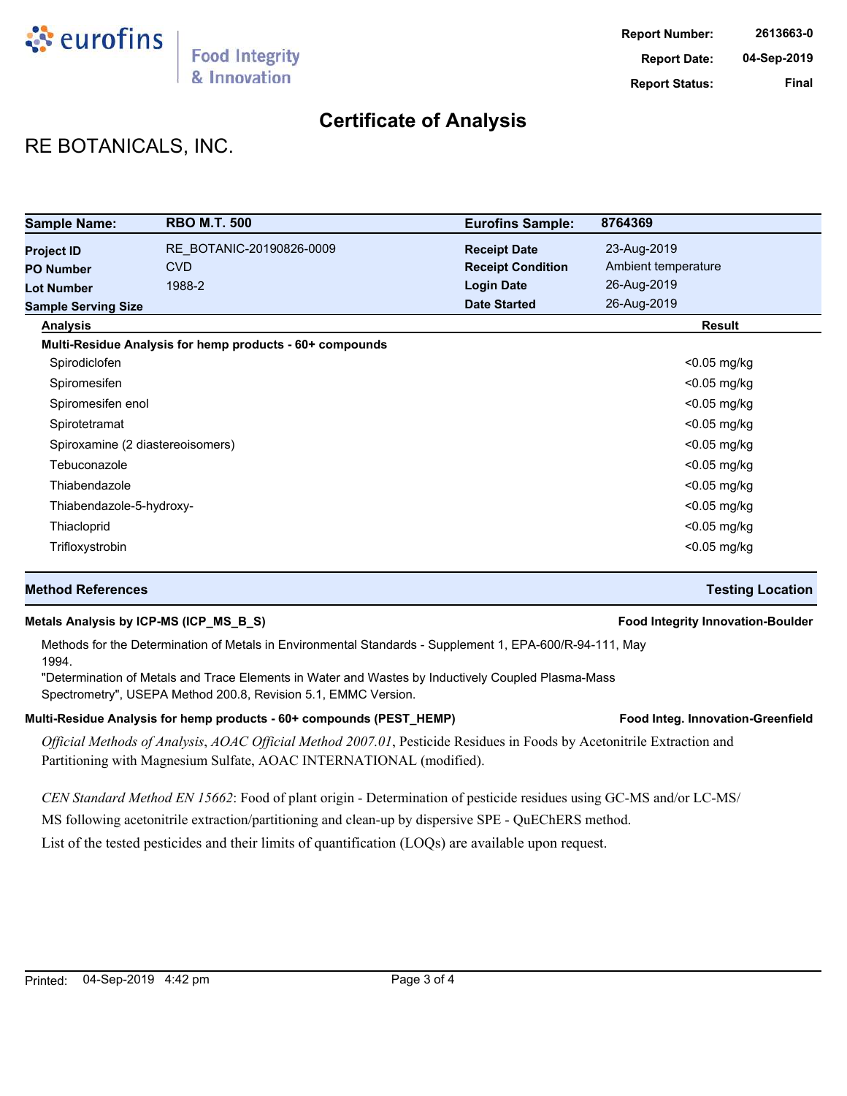

## RE BOTANICALS, INC.

| <b>Sample Name:</b>              | <b>RBO M.T. 500</b>                                      | <b>Eurofins Sample:</b>  | 8764369             |
|----------------------------------|----------------------------------------------------------|--------------------------|---------------------|
| <b>Project ID</b>                | RE BOTANIC-20190826-0009                                 | <b>Receipt Date</b>      | 23-Aug-2019         |
| <b>PO Number</b>                 | <b>CVD</b>                                               | <b>Receipt Condition</b> | Ambient temperature |
| <b>Lot Number</b>                | 1988-2                                                   | <b>Login Date</b>        | 26-Aug-2019         |
| <b>Sample Serving Size</b>       |                                                          | <b>Date Started</b>      | 26-Aug-2019         |
| <b>Analysis</b>                  |                                                          |                          | Result              |
|                                  | Multi-Residue Analysis for hemp products - 60+ compounds |                          |                     |
| Spirodiclofen                    |                                                          |                          | $<$ 0.05 mg/kg      |
| Spiromesifen                     |                                                          |                          | $<$ 0.05 mg/kg      |
| Spiromesifen enol                |                                                          |                          | $<$ 0.05 mg/kg      |
| Spirotetramat                    |                                                          |                          | $<$ 0.05 mg/kg      |
| Spiroxamine (2 diastereoisomers) |                                                          |                          | $<$ 0.05 mg/kg      |
| Tebuconazole                     |                                                          |                          | $<$ 0.05 mg/kg      |
| Thiabendazole                    |                                                          |                          | $<$ 0.05 mg/kg      |
| Thiabendazole-5-hydroxy-         |                                                          |                          | <0.05 mg/kg         |
| Thiacloprid                      |                                                          |                          | <0.05 mg/kg         |
| Trifloxystrobin                  |                                                          |                          | $<$ 0.05 mg/kg      |

## **Method References Testing Location**

## **Metals Analysis by ICP-MS (ICP\_MS\_B\_S) Food Integrity Innovation-Boulder**

Methods for the Determination of Metals in Environmental Standards - Supplement 1, EPA-600/R-94-111, May 1994.

"Determination of Metals and Trace Elements in Water and Wastes by Inductively Coupled Plasma-Mass Spectrometry", USEPA Method 200.8, Revision 5.1, EMMC Version.

### Multi-Residue Analysis for hemp products - 60+ compounds (PEST\_HEMP) **Food Integ. Innovation-Greenfield**

*Official Methods of Analysis*, *AOAC Official Method 2007.01*, Pesticide Residues in Foods by Acetonitrile Extraction and Partitioning with Magnesium Sulfate, AOAC INTERNATIONAL (modified).

*CEN Standard Method EN 15662*: Food of plant origin - Determination of pesticide residues using GC-MS and/or LC-MS/

MS following acetonitrile extraction/partitioning and clean-up by dispersive SPE - QuEChERS method.

List of the tested pesticides and their limits of quantification (LOQs) are available upon request.